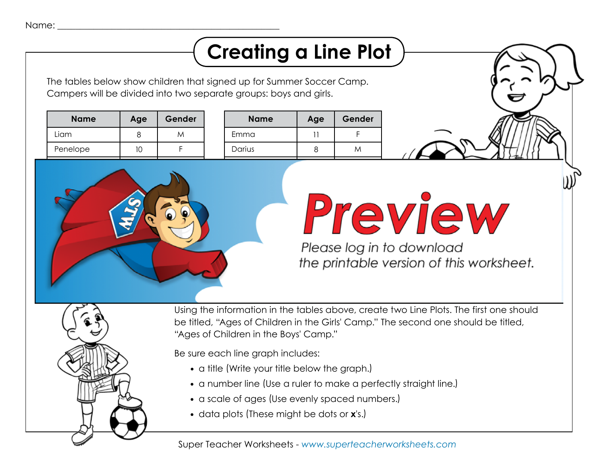<u>L</u> Ka  $\mathbf{V}$ Sadie  $\mathcal{L}$ 

Matthew Tamako Mason

# **Creating a Line Plot**

The tables below show children that signed up for Summer Soccer Camp. Campers will be divided into two separate groups: boys and girls.

> M M  $\overline{I}$ F F

| <b>Name</b> | Age | Gender |
|-------------|-----|--------|
| Liam        |     |        |
| Penelope    |     |        |

10  $\hat{\phantom{a}}$ 8  $\prime$ 12

| <b>Name</b> | Age | Gender |
|-------------|-----|--------|
| Emma        |     |        |
| Darius      |     |        |



 $\tilde{c}$  $\epsilon$  punna  $\overline{a}$ 

Using the information in the tables above, create two Line Plots. The first one should be titled, "Ages of Children in the Girls' Camp." The second one should be titled, "Ages of Children in the Boys' Camp."

Be sure each line graph includes:

Hudson

- a title (Write your title below the graph.)
- a number line (Use a ruler to make a perfectly straight line.)
- a scale of ages (Use evenly spaced numbers.)
- data plots (These might be dots or **x**'s.)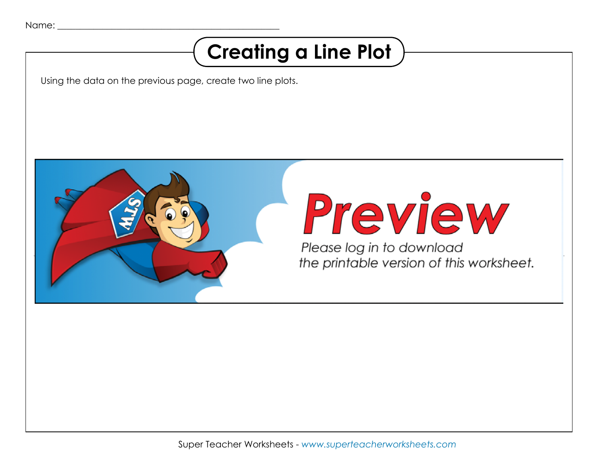## **Creating a Line Plot**

Using the data on the previous page, create two line plots.

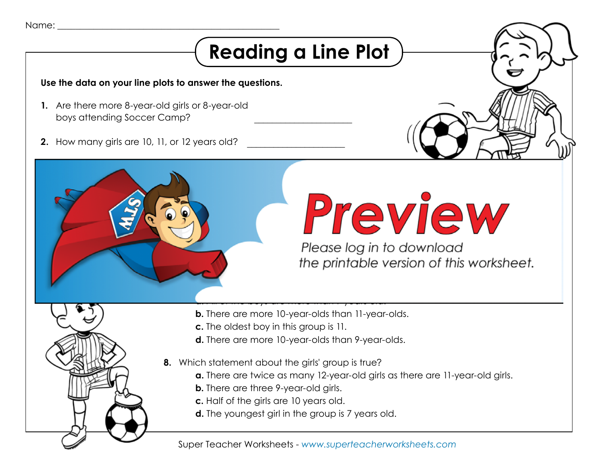# **Reading a Line Plot**

**Use the data on your line plots to answer the questions.**

**4.** How many more 10-year-old girls are there than 9-year-old girls?

- **1.** Are there more 8-year-old girls or 8-year-old boys attending Soccer Camp?  $\mathcal{L}_\text{max}$  , and the set of the set of the set of the set of the set of the set of the set of the set of the set of the set of the set of the set of the set of the set of the set of the set of the set of the set of the
- **2.** How many girls are 10, 11, or 12 years old? \_\_\_\_\_\_\_\_\_\_\_\_\_\_\_\_\_\_\_\_\_\_

**3.** How many boys are over 7 years old?

**5.** How many more 10-year-old girls are there than 10-year-old boys? **6.** The camp counselor wants to divide the boys into two groups.  $\blacksquare$ 

 $T$  first group is  $\mathcal{F}$  and  $\mathcal{F}$  and  $\mathcal{F}$  and  $\mathcal{F}$  and  $\mathcal{F}$  and  $\mathcal{F}$  and  $\mathcal{F}$  and  $\mathcal{F}$  and  $\mathcal{F}$  and  $\mathcal{F}$  and  $\mathcal{F}$  and  $\mathcal{F}$  and  $\mathcal{F}$  and  $\mathcal{F}$  and  $\mathcal{F}$  and  $\mathcal{F}$  $11-$  and 12-year-olds. Which group has more children in it? the printable version of this worksheet.

- **b.** There are more 10-year-olds than 11-year-olds.
- **c.** The oldest boy in this group is 11.

**7.** Which statement about the boys' group is true? **a.** All of the boys are more than 9 years old.

 $\mathcal{L}$  and  $\mathcal{L}$  and  $\mathcal{L}$ 

- **d.** There are more 10-year-olds than 9-year-olds.
- **8.** Which statement about the girls' group is true?
	- **a.** There are twice as many 12-year-old girls as there are 11-year-old girls.

 $\blacksquare$ 

- **b.** There are three 9-year-old girls.
- **c.** Half of the girls are 10 years old.
- **d.** The youngest girl in the group is 7 years old.

Super Teacher Worksheets - *www.superteacherworksheets.com*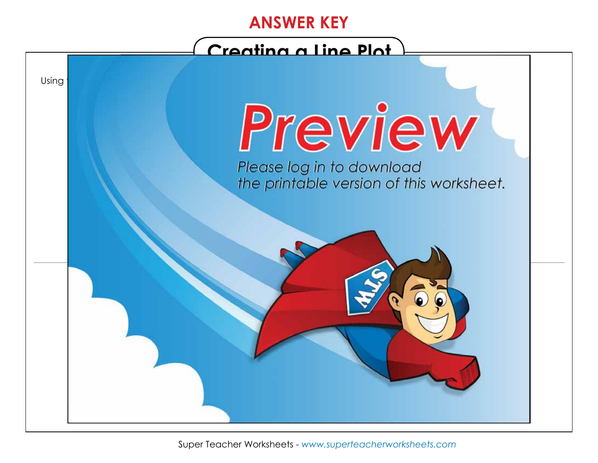### **ANSWER KEY**



Super Teacher Worksheets - *www.superteacherworksheets.com*